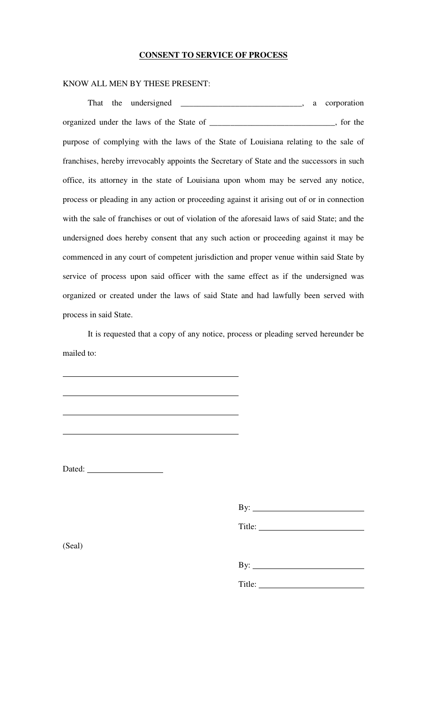## **CONSENT TO SERVICE OF PROCESS**

## KNOW ALL MEN BY THESE PRESENT:

| organized under the laws of the State of __________________________________, for the         |
|----------------------------------------------------------------------------------------------|
| purpose of complying with the laws of the State of Louisiana relating to the sale of         |
| franchises, hereby irrevocably appoints the Secretary of State and the successors in such    |
| office, its attorney in the state of Louisiana upon whom may be served any notice,           |
| process or pleading in any action or proceeding against it arising out of or in connection   |
| with the sale of franchises or out of violation of the aforesaid laws of said State; and the |
| undersigned does hereby consent that any such action or proceeding against it may be         |
| commenced in any court of competent jurisdiction and proper venue within said State by       |
| service of process upon said officer with the same effect as if the undersigned was          |
| organized or created under the laws of said State and had lawfully been served with          |
| process in said State.                                                                       |

It is requested that a copy of any notice, process or pleading served hereunder be mailed to:

 $\overline{\phantom{a}}$ 

Dated:

By:

Title:

(Seal)

| $-7.4$<br>- |  |  |  |
|-------------|--|--|--|
|             |  |  |  |

Title: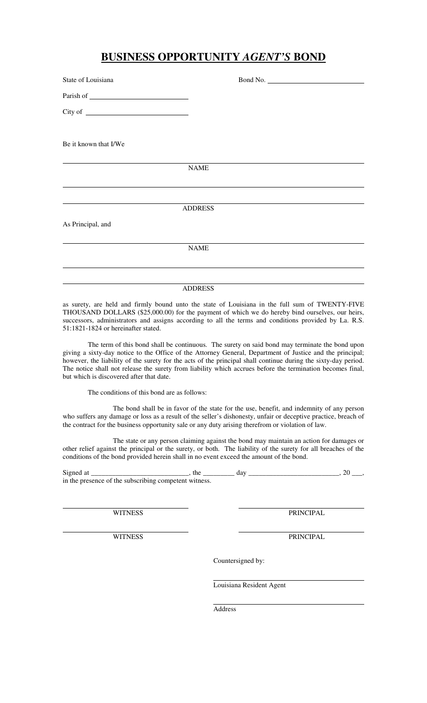## **BUSINESS OPPORTUNITY** *AGENT'S* **BOND**

| State of Louisiana    |                | Bond No. |  |
|-----------------------|----------------|----------|--|
|                       |                |          |  |
|                       |                |          |  |
| Be it known that I/We |                |          |  |
|                       | <b>NAME</b>    |          |  |
|                       |                |          |  |
|                       | <b>ADDRESS</b> |          |  |
| As Principal, and     |                |          |  |
|                       | <b>NAME</b>    |          |  |
|                       |                |          |  |
|                       | <b>ADDRESS</b> |          |  |

as surety, are held and firmly bound unto the state of Louisiana in the full sum of TWENTY-FIVE THOUSAND DOLLARS (\$25,000.00) for the payment of which we do hereby bind ourselves, our heirs, successors, administrators and assigns according to all the terms and conditions provided by La. R.S. 51:1821-1824 or hereinafter stated.

The term of this bond shall be continuous. The surety on said bond may terminate the bond upon giving a sixty-day notice to the Office of the Attorney General, Department of Justice and the principal; however, the liability of the surety for the acts of the principal shall continue during the sixty-day period. The notice shall not release the surety from liability which accrues before the termination becomes final, but which is discovered after that date.

The conditions of this bond are as follows:

The bond shall be in favor of the state for the use, benefit, and indemnity of any person who suffers any damage or loss as a result of the seller's dishonesty, unfair or deceptive practice, breach of the contract for the business opportunity sale or any duty arising therefrom or violation of law.

The state or any person claiming against the bond may maintain an action for damages or other relief against the principal or the surety, or both. The liability of the surety for all breaches of the conditions of the bond provided herein shall in no event exceed the amount of the bond.

Signed at \_\_\_\_\_\_\_\_\_\_\_\_\_\_\_\_\_\_\_\_\_\_\_\_\_\_\_\_, the \_\_\_\_\_\_\_\_\_ day \_\_\_\_\_\_\_\_\_\_\_\_\_\_\_\_\_\_\_\_\_\_\_\_\_\_, 20 \_\_\_, in the presence of the subscribing competent witness.

WITNESS PRINCIPAL

WITNESS PRINCIPAL

Countersigned by:

Louisiana Resident Agent

Address